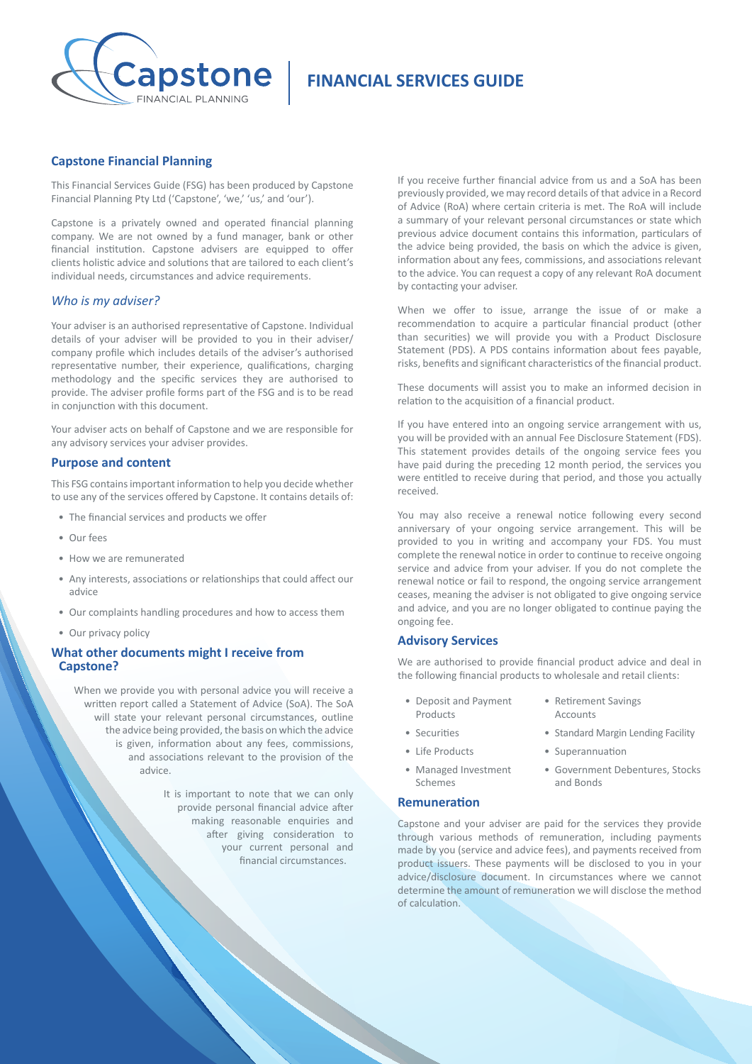

# **FINANCIAL SERVICES GUIDE**

## **Capstone Financial Planning**

This Financial Services Guide (FSG) has been produced by Capstone Financial Planning Pty Ltd ('Capstone', 'we,' 'us,' and 'our').

Capstone is a privately owned and operated financial planning company. We are not owned by a fund manager, bank or other financial institution. Capstone advisers are equipped to offer clients holistic advice and solutions that are tailored to each client's individual needs, circumstances and advice requirements.

## *Who is my adviser?*

Your adviser is an authorised representative of Capstone. Individual details of your adviser will be provided to you in their adviser/ company profile which includes details of the adviser's authorised representative number, their experience, qualifications, charging methodology and the specific services they are authorised to provide. The adviser profile forms part of the FSG and is to be read in conjunction with this document.

Your adviser acts on behalf of Capstone and we are responsible for any advisory services your adviser provides.

#### **Purpose and content**

This FSG contains important information to help you decide whether to use any of the services offered by Capstone. It contains details of:

- The financial services and products we offer
- Our fees
- How we are remunerated
- Any interests, associations or relationships that could affect our advice
- Our complaints handling procedures and how to access them
- Our privacy policy

## **What other documents might I receive from Capstone?**

When we provide you with personal advice you will receive a written report called a Statement of Advice (SoA). The SoA will state your relevant personal circumstances, outline the advice being provided, the basis on which the advice is given, information about any fees, commissions, and associations relevant to the provision of the advice.

> It is important to note that we can only provide personal financial advice after making reasonable enquiries and after giving consideration to your current personal and financial circumstances.

If you receive further financial advice from us and a SoA has been previously provided, we may record details of that advice in a Record of Advice (RoA) where certain criteria is met. The RoA will include a summary of your relevant personal circumstances or state which previous advice document contains this information, particulars of the advice being provided, the basis on which the advice is given, information about any fees, commissions, and associations relevant to the advice. You can request a copy of any relevant RoA document by contacting your adviser.

When we offer to issue, arrange the issue of or make a recommendation to acquire a particular financial product (other than securities) we will provide you with a Product Disclosure Statement (PDS). A PDS contains information about fees payable, risks, benefits and significant characteristics of the financial product.

These documents will assist you to make an informed decision in relation to the acquisition of a financial product.

If you have entered into an ongoing service arrangement with us, you will be provided with an annual Fee Disclosure Statement (FDS). This statement provides details of the ongoing service fees you have paid during the preceding 12 month period, the services you were entitled to receive during that period, and those you actually received.

You may also receive a renewal notice following every second anniversary of your ongoing service arrangement. This will be provided to you in writing and accompany your FDS. You must complete the renewal notice in order to continue to receive ongoing service and advice from your adviser. If you do not complete the renewal notice or fail to respond, the ongoing service arrangement ceases, meaning the adviser is not obligated to give ongoing service and advice, and you are no longer obligated to continue paying the ongoing fee.

## **Advisory Services**

We are authorised to provide financial product advice and deal in the following financial products to wholesale and retail clients:

- Deposit and Payment Products Accounts
- 
- Life Products Superannuation
- Managed Investment Schemes
- Retirement Savings
- Securities Standard Margin Lending Facility
	-
	- Government Debentures, Stocks and Bonds

## **Remuneration**

Capstone and your adviser are paid for the services they provide through various methods of remuneration, including payments made by you (service and advice fees), and payments received from product issuers. These payments will be disclosed to you in your<br>advice/disclosure document. In circumstances where we cannot advice/disclosure document. In circumstances where determine the amount of remuneration we will disclose the method of calculation.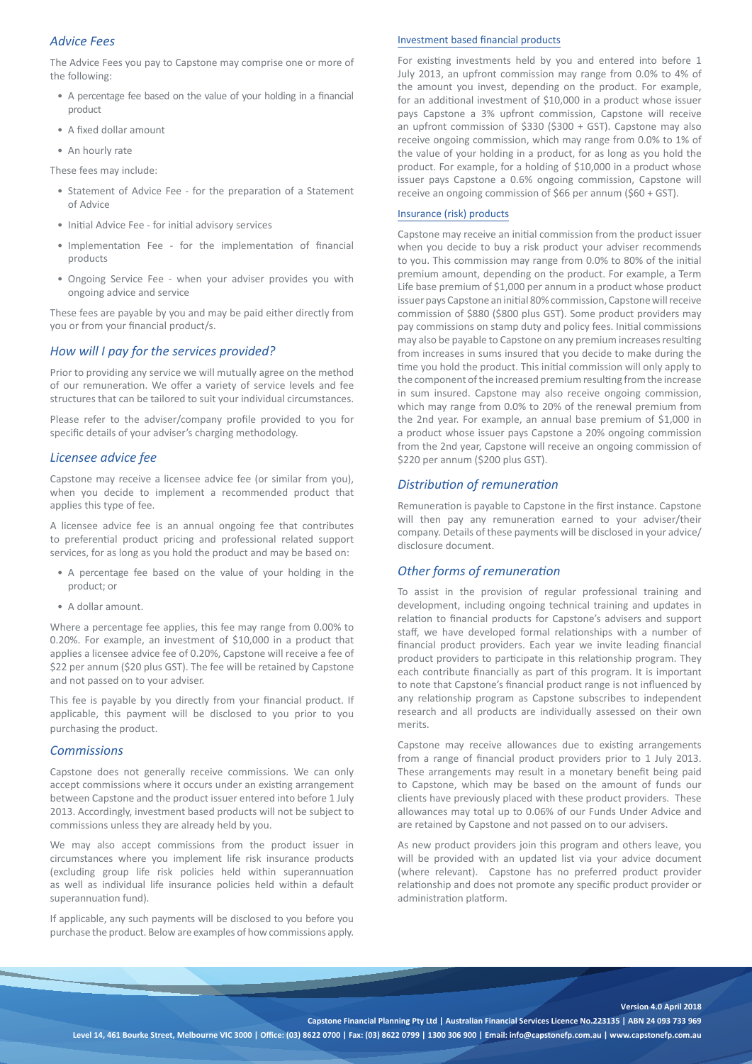# *Advice Fees*

The Advice Fees you pay to Capstone may comprise one or more of the following:

- A percentage fee based on the value of your holding in a financial product
- A fixed dollar amount
- An hourly rate

These fees may include:

- Statement of Advice Fee for the preparation of a Statement of Advice
- Initial Advice Fee for initial advisory services
- Implementation Fee for the implementation of financial products
- Ongoing Service Fee when your adviser provides you with ongoing advice and service

These fees are payable by you and may be paid either directly from you or from your financial product/s.

## *How will I pay for the services provided?*

Prior to providing any service we will mutually agree on the method of our remuneration. We offer a variety of service levels and fee structures that can be tailored to suit your individual circumstances.

Please refer to the adviser/company profile provided to you for specific details of your adviser's charging methodology.

## *Licensee advice fee*

Capstone may receive a licensee advice fee (or similar from you), when you decide to implement a recommended product that applies this type of fee.

A licensee advice fee is an annual ongoing fee that contributes to preferential product pricing and professional related support services, for as long as you hold the product and may be based on:

- A percentage fee based on the value of your holding in the product; or
- A dollar amount.

Where a percentage fee applies, this fee may range from 0.00% to 0.20%. For example, an investment of \$10,000 in a product that applies a licensee advice fee of 0.20%, Capstone will receive a fee of \$22 per annum (\$20 plus GST). The fee will be retained by Capstone and not passed on to your adviser.

This fee is payable by you directly from your financial product. If applicable, this payment will be disclosed to you prior to you purchasing the product.

#### *Commissions*

Capstone does not generally receive commissions. We can only accept commissions where it occurs under an existing arrangement between Capstone and the product issuer entered into before 1 July 2013. Accordingly, investment based products will not be subject to commissions unless they are already held by you.

We may also accept commissions from the product issuer in circumstances where you implement life risk insurance products (excluding group life risk policies held within superannuation as well as individual life insurance policies held within a default superannuation fund).

If applicable, any such payments will be disclosed to you before you purchase the product. Below are examples of how commissions apply.

#### Investment based financial products

For existing investments held by you and entered into before 1 July 2013, an upfront commission may range from 0.0% to 4% of the amount you invest, depending on the product. For example, for an additional investment of \$10,000 in a product whose issuer pays Capstone a 3% upfront commission, Capstone will receive an upfront commission of \$330 (\$300 + GST). Capstone may also receive ongoing commission, which may range from 0.0% to 1% of the value of your holding in a product, for as long as you hold the product. For example, for a holding of \$10,000 in a product whose issuer pays Capstone a 0.6% ongoing commission, Capstone will receive an ongoing commission of \$66 per annum (\$60 + GST).

## Insurance (risk) products

Capstone may receive an initial commission from the product issuer when you decide to buy a risk product your adviser recommends to you. This commission may range from 0.0% to 80% of the initial premium amount, depending on the product. For example, a Term Life base premium of \$1,000 per annum in a product whose product issuer pays Capstone an initial 80% commission, Capstone will receive commission of \$880 (\$800 plus GST). Some product providers may pay commissions on stamp duty and policy fees. Initial commissions may also be payable to Capstone on any premium increases resulting from increases in sums insured that you decide to make during the time you hold the product. This initial commission will only apply to the component of the increased premium resulting from the increase in sum insured. Capstone may also receive ongoing commission, which may range from 0.0% to 20% of the renewal premium from the 2nd year. For example, an annual base premium of \$1,000 in a product whose issuer pays Capstone a 20% ongoing commission from the 2nd year, Capstone will receive an ongoing commission of \$220 per annum (\$200 plus GST).

## *Distribution of remuneration*

Remuneration is payable to Capstone in the first instance. Capstone will then pay any remuneration earned to your adviser/their company. Details of these payments will be disclosed in your advice/ disclosure document.

## *Other forms of remuneration*

To assist in the provision of regular professional training and development, including ongoing technical training and updates in relation to financial products for Capstone's advisers and support staff, we have developed formal relationships with a number of financial product providers. Each year we invite leading financial product providers to participate in this relationship program. They each contribute financially as part of this program. It is important to note that Capstone's financial product range is not influenced by any relationship program as Capstone subscribes to independent research and all products are individually assessed on their own merits.

Capstone may receive allowances due to existing arrangements from a range of financial product providers prior to 1 July 2013. These arrangements may result in a monetary benefit being paid to Capstone, which may be based on the amount of funds our clients have previously placed with these product providers. These allowances may total up to 0.06% of our Funds Under Advice and are retained by Capstone and not passed on to our advisers.

As new product providers join this program and others leave, you will be provided with an updated list via your advice document (where relevant). Capstone has no preferred product provider relationship and does not promote any specific product provider or administration platform.

**Version 4.0 April 2018**

**Capstone Financial Planning Pty Ltd | Australian Financial Services Licence No.223135 | ABN 24 093 733 969**

**Level 14, 461 Bourke Street, Melbourne VIC 3000 | Office: (03) 8622 0700 | Fax: (03) 8622 0799 | 1300 306 900 | Email: info@capstonefp.com.au | www.capstonefp.com.au**